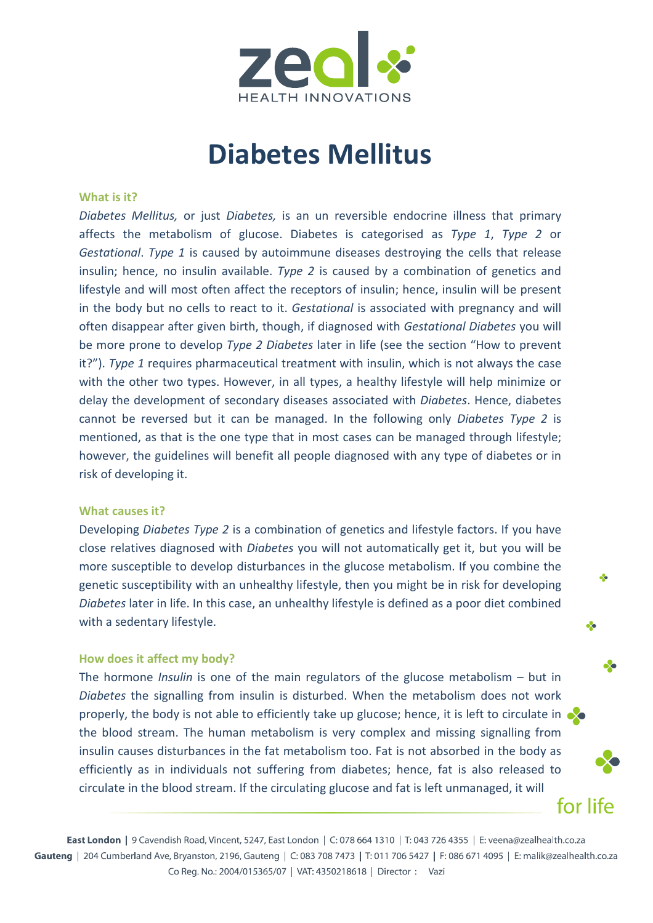

# **Diabetes Mellitus**

### **What is it?**

*Diabetes Mellitus,* or just *Diabetes,* is an un reversible endocrine illness that primary affects the metabolism of glucose. Diabetes is categorised as *Type 1*, *Type 2* or *Gestational*. *Type 1* is caused by autoimmune diseases destroying the cells that release insulin; hence, no insulin available. *Type 2* is caused by a combination of genetics and lifestyle and will most often affect the receptors of insulin; hence, insulin will be present in the body but no cells to react to it. *Gestational* is associated with pregnancy and will often disappear after given birth, though, if diagnosed with *Gestational Diabetes* you will be more prone to develop *Type 2 Diabetes* later in life (see the section "How to prevent it?"). *Type 1* requires pharmaceutical treatment with insulin, which is not always the case with the other two types. However, in all types, a healthy lifestyle will help minimize or delay the development of secondary diseases associated with *Diabetes*. Hence, diabetes cannot be reversed but it can be managed. In the following only *Diabetes Type 2* is mentioned, as that is the one type that in most cases can be managed through lifestyle; however, the guidelines will benefit all people diagnosed with any type of diabetes or in risk of developing it.

#### **What causes it?**

Developing *Diabetes Type 2* is a combination of genetics and lifestyle factors. If you have close relatives diagnosed with *Diabetes* you will not automatically get it, but you will be more susceptible to develop disturbances in the glucose metabolism. If you combine the genetic susceptibility with an unhealthy lifestyle, then you might be in risk for developing *Diabetes* later in life. In this case, an unhealthy lifestyle is defined as a poor diet combined with a sedentary lifestyle.

 $\sim$ 

❖

❖

for life

#### **How does it affect my body?**

The hormone *Insulin* is one of the main regulators of the glucose metabolism – but in *Diabetes* the signalling from insulin is disturbed. When the metabolism does not work properly, the body is not able to efficiently take up glucose; hence, it is left to circulate in the blood stream. The human metabolism is very complex and missing signalling from insulin causes disturbances in the fat metabolism too. Fat is not absorbed in the body as efficiently as in individuals not suffering from diabetes; hence, fat is also released to circulate in the blood stream. If the circulating glucose and fat is left unmanaged, it will